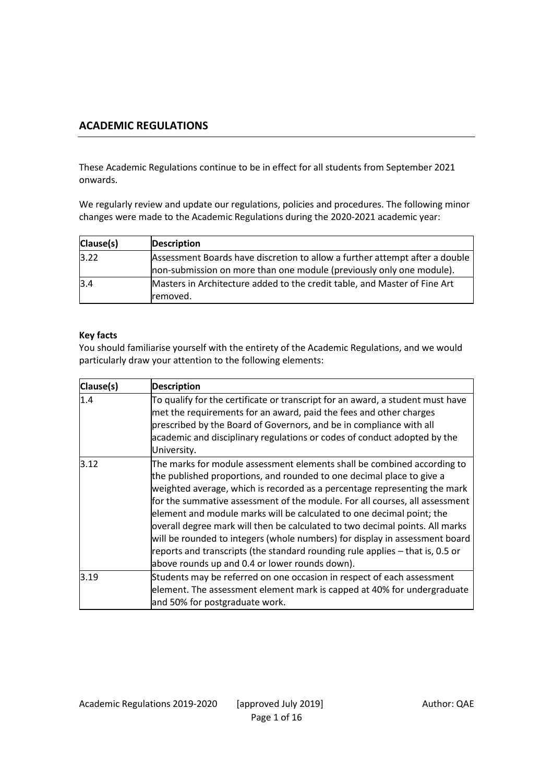### **ACADEMIC REGULATIONS**

These Academic Regulations continue to be in effect for all students from September 2021 onwards.

We regularly review and update our regulations, policies and procedures. The following minor changes were made to the Academic Regulations during the 2020-2021 academic year:

| Clause(s) | <b>Description</b>                                                                                                                                  |
|-----------|-----------------------------------------------------------------------------------------------------------------------------------------------------|
| 3.22      | Assessment Boards have discretion to allow a further attempt after a double<br>non-submission on more than one module (previously only one module). |
| 3.4       | Masters in Architecture added to the credit table, and Master of Fine Art<br>removed.                                                               |

### **Key facts**

You should familiarise yourself with the entirety of the Academic Regulations, and we would particularly draw your attention to the following elements:

| Clause(s) | <b>Description</b>                                                                                                                                                                                                                                                                                                                                                                                                                                                                                                                                                                                                                                                                      |
|-----------|-----------------------------------------------------------------------------------------------------------------------------------------------------------------------------------------------------------------------------------------------------------------------------------------------------------------------------------------------------------------------------------------------------------------------------------------------------------------------------------------------------------------------------------------------------------------------------------------------------------------------------------------------------------------------------------------|
| 1.4       | To qualify for the certificate or transcript for an award, a student must have<br>met the requirements for an award, paid the fees and other charges<br>prescribed by the Board of Governors, and be in compliance with all<br>academic and disciplinary regulations or codes of conduct adopted by the<br>University.                                                                                                                                                                                                                                                                                                                                                                  |
| 3.12      | The marks for module assessment elements shall be combined according to<br>the published proportions, and rounded to one decimal place to give a<br>weighted average, which is recorded as a percentage representing the mark<br>for the summative assessment of the module. For all courses, all assessment<br>element and module marks will be calculated to one decimal point; the<br>overall degree mark will then be calculated to two decimal points. All marks<br>will be rounded to integers (whole numbers) for display in assessment board<br>reports and transcripts (the standard rounding rule applies - that is, 0.5 or<br>above rounds up and 0.4 or lower rounds down). |
| 3.19      | Students may be referred on one occasion in respect of each assessment<br>element. The assessment element mark is capped at 40% for undergraduate<br>and 50% for postgraduate work.                                                                                                                                                                                                                                                                                                                                                                                                                                                                                                     |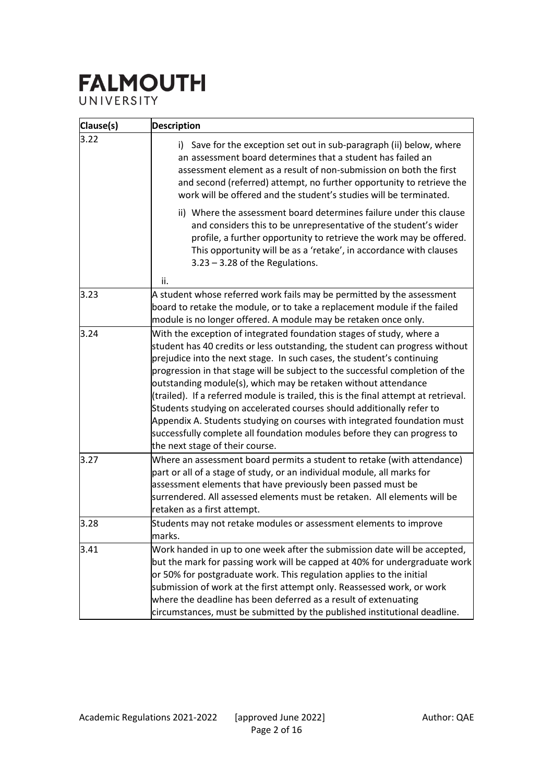| Clause(s) | <b>Description</b>                                                                                                                                                                                                                                                                                                                                                                                                                                                                                                                                                                                                                                                                                                                           |
|-----------|----------------------------------------------------------------------------------------------------------------------------------------------------------------------------------------------------------------------------------------------------------------------------------------------------------------------------------------------------------------------------------------------------------------------------------------------------------------------------------------------------------------------------------------------------------------------------------------------------------------------------------------------------------------------------------------------------------------------------------------------|
| 3.22      | i) Save for the exception set out in sub-paragraph (ii) below, where<br>an assessment board determines that a student has failed an<br>assessment element as a result of non-submission on both the first<br>and second (referred) attempt, no further opportunity to retrieve the<br>work will be offered and the student's studies will be terminated.                                                                                                                                                                                                                                                                                                                                                                                     |
|           | ii) Where the assessment board determines failure under this clause<br>and considers this to be unrepresentative of the student's wider<br>profile, a further opportunity to retrieve the work may be offered.<br>This opportunity will be as a 'retake', in accordance with clauses<br>$3.23 - 3.28$ of the Regulations.                                                                                                                                                                                                                                                                                                                                                                                                                    |
|           | ii.                                                                                                                                                                                                                                                                                                                                                                                                                                                                                                                                                                                                                                                                                                                                          |
| 3.23      | A student whose referred work fails may be permitted by the assessment<br>board to retake the module, or to take a replacement module if the failed<br>module is no longer offered. A module may be retaken once only.                                                                                                                                                                                                                                                                                                                                                                                                                                                                                                                       |
| 3.24      | With the exception of integrated foundation stages of study, where a<br>student has 40 credits or less outstanding, the student can progress without<br>prejudice into the next stage. In such cases, the student's continuing<br>progression in that stage will be subject to the successful completion of the<br>outstanding module(s), which may be retaken without attendance<br>(trailed). If a referred module is trailed, this is the final attempt at retrieval.<br>Students studying on accelerated courses should additionally refer to<br>Appendix A. Students studying on courses with integrated foundation must<br>successfully complete all foundation modules before they can progress to<br>the next stage of their course. |
| 3.27      | Where an assessment board permits a student to retake (with attendance)<br>part or all of a stage of study, or an individual module, all marks for<br>assessment elements that have previously been passed must be<br>surrendered. All assessed elements must be retaken. All elements will be<br>retaken as a first attempt.                                                                                                                                                                                                                                                                                                                                                                                                                |
| 3.28      | Students may not retake modules or assessment elements to improve<br>marks.                                                                                                                                                                                                                                                                                                                                                                                                                                                                                                                                                                                                                                                                  |
| 3.41      | Work handed in up to one week after the submission date will be accepted,<br>but the mark for passing work will be capped at 40% for undergraduate work<br>or 50% for postgraduate work. This regulation applies to the initial<br>submission of work at the first attempt only. Reassessed work, or work<br>where the deadline has been deferred as a result of extenuating<br>circumstances, must be submitted by the published institutional deadline.                                                                                                                                                                                                                                                                                    |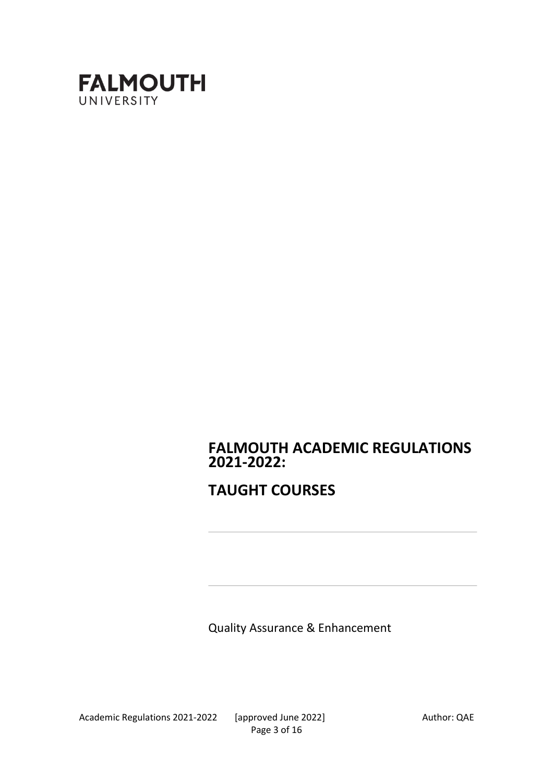

### **FALMOUTH ACADEMIC REGULATIONS 2021-2022:**

### **TAUGHT COURSES**

Quality Assurance & Enhancement

Academic Regulations 2021-2022 [approved June 2022] Author: QAE

Page 3 of 16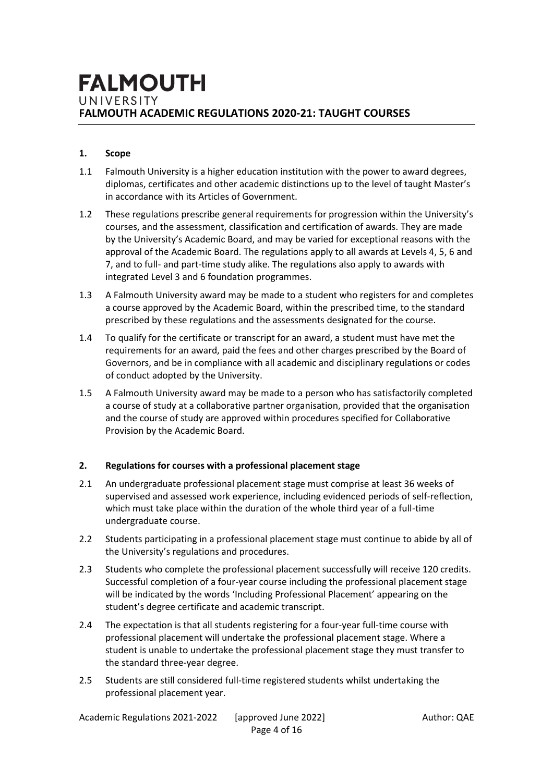### **FALMOUTH** UNIVERSITY **FALMOUTH ACADEMIC REGULATIONS 2020-21: TAUGHT COURSES**

### **1. Scope**

- 1.1 Falmouth University is a higher education institution with the power to award degrees, diplomas, certificates and other academic distinctions up to the level of taught Master's in accordance with its Articles of Government.
- 1.2 These regulations prescribe general requirements for progression within the University's courses, and the assessment, classification and certification of awards. They are made by the University's Academic Board, and may be varied for exceptional reasons with the approval of the Academic Board. The regulations apply to all awards at Levels 4, 5, 6 and 7, and to full- and part-time study alike. The regulations also apply to awards with integrated Level 3 and 6 foundation programmes.
- 1.3 A Falmouth University award may be made to a student who registers for and completes a course approved by the Academic Board, within the prescribed time, to the standard prescribed by these regulations and the assessments designated for the course.
- 1.4 To qualify for the certificate or transcript for an award, a student must have met the requirements for an award, paid the fees and other charges prescribed by the Board of Governors, and be in compliance with all academic and disciplinary regulations or codes of conduct adopted by the University.
- 1.5 A Falmouth University award may be made to a person who has satisfactorily completed a course of study at a collaborative partner organisation, provided that the organisation and the course of study are approved within procedures specified for Collaborative Provision by the Academic Board.

### **2. Regulations for courses with a professional placement stage**

- 2.1 An undergraduate professional placement stage must comprise at least 36 weeks of supervised and assessed work experience, including evidenced periods of self-reflection, which must take place within the duration of the whole third year of a full-time undergraduate course.
- 2.2 Students participating in a professional placement stage must continue to abide by all of the University's regulations and procedures.
- 2.3 Students who complete the professional placement successfully will receive 120 credits. Successful completion of a four-year course including the professional placement stage will be indicated by the words 'Including Professional Placement' appearing on the student's degree certificate and academic transcript.
- 2.4 The expectation is that all students registering for a four-year full-time course with professional placement will undertake the professional placement stage. Where a student is unable to undertake the professional placement stage they must transfer to the standard three-year degree.
- 2.5 Students are still considered full-time registered students whilst undertaking the professional placement year.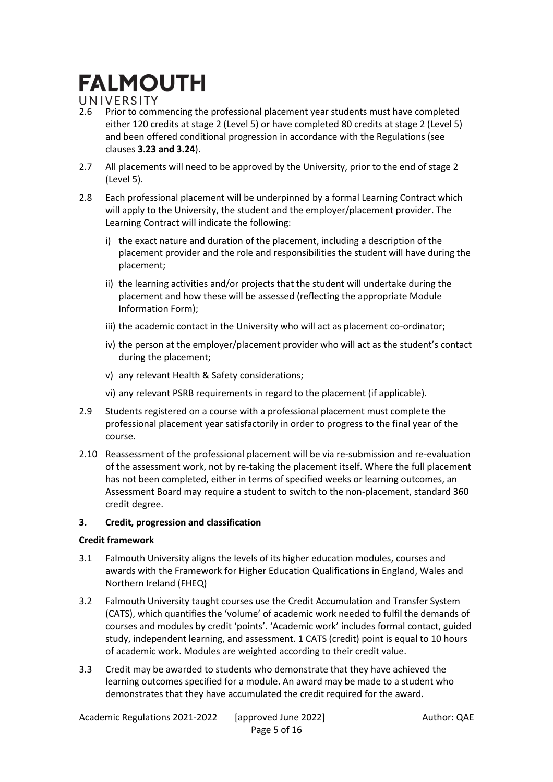UNIVERSITY

- 2.6 Prior to commencing the professional placement year students must have completed either 120 credits at stage 2 (Level 5) or have completed 80 credits at stage 2 (Level 5) and been offered conditional progression in accordance with the Regulations (see clauses **3.23 and 3.24**).
- 2.7 All placements will need to be approved by the University, prior to the end of stage 2 (Level 5).
- 2.8 Each professional placement will be underpinned by a formal Learning Contract which will apply to the University, the student and the employer/placement provider. The Learning Contract will indicate the following:
	- i) the exact nature and duration of the placement, including a description of the placement provider and the role and responsibilities the student will have during the placement;
	- ii) the learning activities and/or projects that the student will undertake during the placement and how these will be assessed (reflecting the appropriate Module Information Form);
	- iii) the academic contact in the University who will act as placement co-ordinator;
	- iv) the person at the employer/placement provider who will act as the student's contact during the placement;
	- v) any relevant Health & Safety considerations;
	- vi) any relevant PSRB requirements in regard to the placement (if applicable).
- 2.9 Students registered on a course with a professional placement must complete the professional placement year satisfactorily in order to progress to the final year of the course.
- 2.10 Reassessment of the professional placement will be via re-submission and re-evaluation of the assessment work, not by re-taking the placement itself. Where the full placement has not been completed, either in terms of specified weeks or learning outcomes, an Assessment Board may require a student to switch to the non-placement, standard 360 credit degree.

### **3. Credit, progression and classification**

### **Credit framework**

- 3.1 Falmouth University aligns the levels of its higher education modules, courses and awards with the Framework for Higher Education Qualifications in England, Wales and Northern Ireland (FHEQ)
- 3.2 Falmouth University taught courses use the Credit Accumulation and Transfer System (CATS), which quantifies the 'volume' of academic work needed to fulfil the demands of courses and modules by credit 'points'. 'Academic work' includes formal contact, guided study, independent learning, and assessment. 1 CATS (credit) point is equal to 10 hours of academic work. Modules are weighted according to their credit value.
- 3.3 Credit may be awarded to students who demonstrate that they have achieved the learning outcomes specified for a module. An award may be made to a student who demonstrates that they have accumulated the credit required for the award.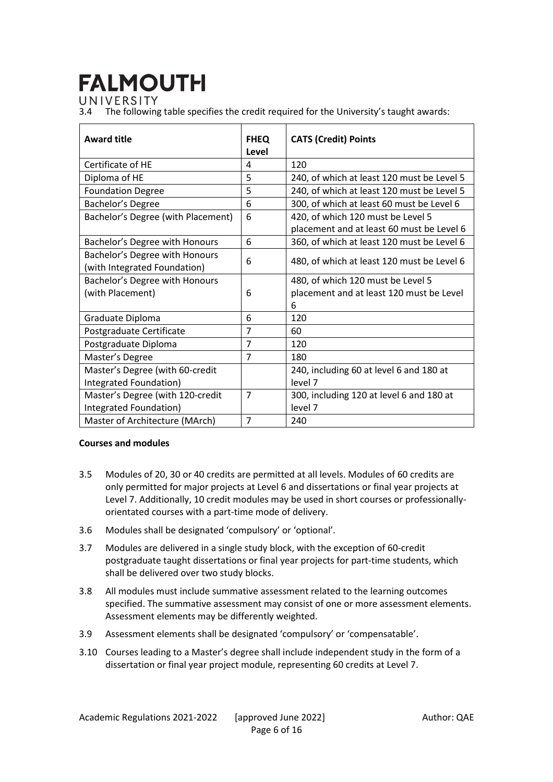UNIVERSITY

3.4 The following table specifies the credit required for the University's taught awards:

| <b>Award title</b>                                             | <b>FHEQ</b><br>Level | <b>CATS (Credit) Points</b>                |
|----------------------------------------------------------------|----------------------|--------------------------------------------|
| Certificate of HE                                              | 4                    | 120                                        |
| Diploma of HE                                                  | 5                    | 240, of which at least 120 must be Level 5 |
| <b>Foundation Degree</b>                                       | 5                    | 240, of which at least 120 must be Level 5 |
| Bachelor's Degree                                              | 6                    | 300, of which at least 60 must be Level 6  |
| Bachelor's Degree (with Placement)                             | 6                    | 420, of which 120 must be Level 5          |
|                                                                |                      | placement and at least 60 must be Level 6  |
| Bachelor's Degree with Honours                                 | 6                    | 360, of which at least 120 must be Level 6 |
| Bachelor's Degree with Honours<br>(with Integrated Foundation) | 6                    | 480, of which at least 120 must be Level 6 |
| Bachelor's Degree with Honours                                 |                      | 480, of which 120 must be Level 5          |
| (with Placement)                                               | 6                    | placement and at least 120 must be Level   |
|                                                                |                      | 6                                          |
| Graduate Diploma                                               | 6                    | 120                                        |
| Postgraduate Certificate                                       | $\overline{7}$       | 60                                         |
| Postgraduate Diploma                                           | $\overline{7}$       | 120                                        |
| Master's Degree                                                | $\overline{7}$       | 180                                        |
| Master's Degree (with 60-credit                                |                      | 240, including 60 at level 6 and 180 at    |
| Integrated Foundation)                                         |                      | level 7                                    |
| Master's Degree (with 120-credit                               | $\overline{7}$       | 300, including 120 at level 6 and 180 at   |
| Integrated Foundation)                                         |                      | level 7                                    |
| Master of Architecture (MArch)                                 | $\overline{7}$       | 240                                        |

### **Courses and modules**

- 3.5 Modules of 20, 30 or 40 credits are permitted at all levels. Modules of 60 credits are only permitted for major projects at Level 6 and dissertations or final year projects at Level 7. Additionally, 10 credit modules may be used in short courses or professionallyorientated courses with a part-time mode of delivery.
- 3.6 Modules shall be designated 'compulsory' or 'optional'.
- 3.7 Modules are delivered in a single study block, with the exception of 60-credit postgraduate taught dissertations or final year projects for part-time students, which shall be delivered over two study blocks.
- 3.8 All modules must include summative assessment related to the learning outcomes specified. The summative assessment may consist of one or more assessment elements. Assessment elements may be differently weighted.
- 3.9 Assessment elements shall be designated 'compulsory' or 'compensatable'.
- 3.10 Courses leading to a Master's degree shall include independent study in the form of a dissertation or final year project module, representing 60 credits at Level 7.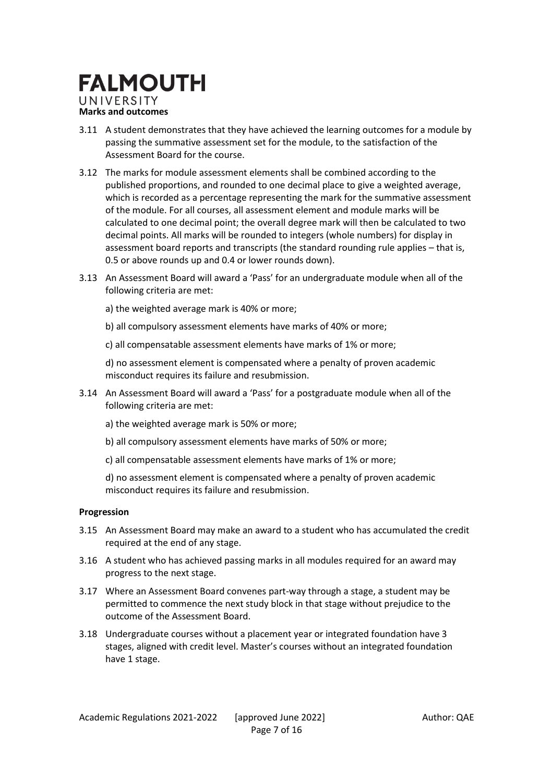

- 3.11 A student demonstrates that they have achieved the learning outcomes for a module by passing the summative assessment set for the module, to the satisfaction of the Assessment Board for the course.
- 3.12 The marks for module assessment elements shall be combined according to the published proportions, and rounded to one decimal place to give a weighted average, which is recorded as a percentage representing the mark for the summative assessment of the module. For all courses, all assessment element and module marks will be calculated to one decimal point; the overall degree mark will then be calculated to two decimal points. All marks will be rounded to integers (whole numbers) for display in assessment board reports and transcripts (the standard rounding rule applies – that is, 0.5 or above rounds up and 0.4 or lower rounds down).
- 3.13 An Assessment Board will award a 'Pass' for an undergraduate module when all of the following criteria are met:
	- a) the weighted average mark is 40% or more;
	- b) all compulsory assessment elements have marks of 40% or more;
	- c) all compensatable assessment elements have marks of 1% or more;

d) no assessment element is compensated where a penalty of proven academic misconduct requires its failure and resubmission.

- 3.14 An Assessment Board will award a 'Pass' for a postgraduate module when all of the following criteria are met:
	- a) the weighted average mark is 50% or more;
	- b) all compulsory assessment elements have marks of 50% or more;
	- c) all compensatable assessment elements have marks of 1% or more;

d) no assessment element is compensated where a penalty of proven academic misconduct requires its failure and resubmission.

#### **Progression**

- 3.15 An Assessment Board may make an award to a student who has accumulated the credit required at the end of any stage.
- 3.16 A student who has achieved passing marks in all modules required for an award may progress to the next stage.
- 3.17 Where an Assessment Board convenes part-way through a stage, a student may be permitted to commence the next study block in that stage without prejudice to the outcome of the Assessment Board.
- 3.18 Undergraduate courses without a placement year or integrated foundation have 3 stages, aligned with credit level. Master's courses without an integrated foundation have 1 stage.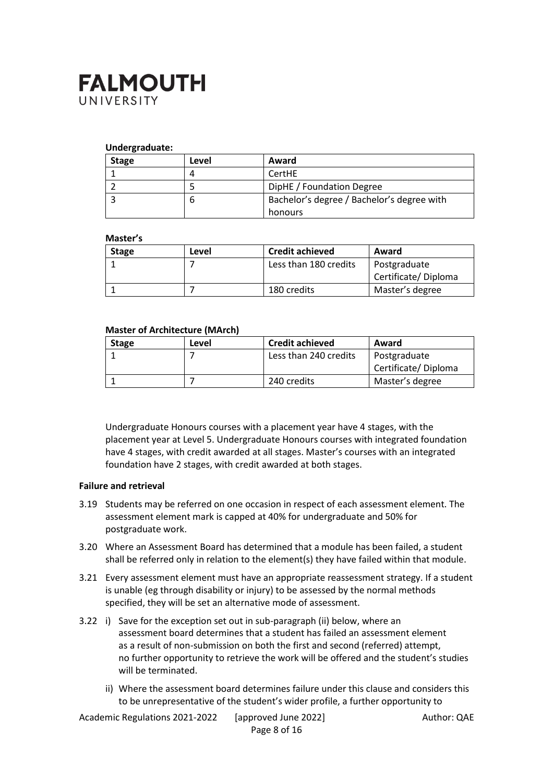

#### **Undergraduate:**

| <b>Stage</b> | Level | Award                                      |
|--------------|-------|--------------------------------------------|
|              |       | CertHE                                     |
|              |       | DipHE / Foundation Degree                  |
|              |       | Bachelor's degree / Bachelor's degree with |
|              |       | honours                                    |

#### **Master's**

| <b>Stage</b> | Level | <b>Credit achieved</b> | Award               |
|--------------|-------|------------------------|---------------------|
|              |       | Less than 180 credits  | Postgraduate        |
|              |       |                        | Certificate/Diploma |
|              |       | 180 credits            | Master's degree     |

### **Master of Architecture (MArch)**

| <b>Stage</b> | Level | <b>Credit achieved</b> | Award               |
|--------------|-------|------------------------|---------------------|
|              |       | Less than 240 credits  | Postgraduate        |
|              |       |                        | Certificate/Diploma |
|              |       | 240 credits            | Master's degree     |

Undergraduate Honours courses with a placement year have 4 stages, with the placement year at Level 5. Undergraduate Honours courses with integrated foundation have 4 stages, with credit awarded at all stages. Master's courses with an integrated foundation have 2 stages, with credit awarded at both stages.

### **Failure and retrieval**

- 3.19 Students may be referred on one occasion in respect of each assessment element. The assessment element mark is capped at 40% for undergraduate and 50% for postgraduate work.
- 3.20 Where an Assessment Board has determined that a module has been failed, a student shall be referred only in relation to the element(s) they have failed within that module.
- 3.21 Every assessment element must have an appropriate reassessment strategy. If a student is unable (eg through disability or injury) to be assessed by the normal methods specified, they will be set an alternative mode of assessment.
- 3.22 i) Save for the exception set out in sub-paragraph (ii) below, where an assessment board determines that a student has failed an assessment element as a result of non-submission on both the first and second (referred) attempt, no further opportunity to retrieve the work will be offered and the student's studies will be terminated.
	- ii) Where the assessment board determines failure under this clause and considers this to be unrepresentative of the student's wider profile, a further opportunity to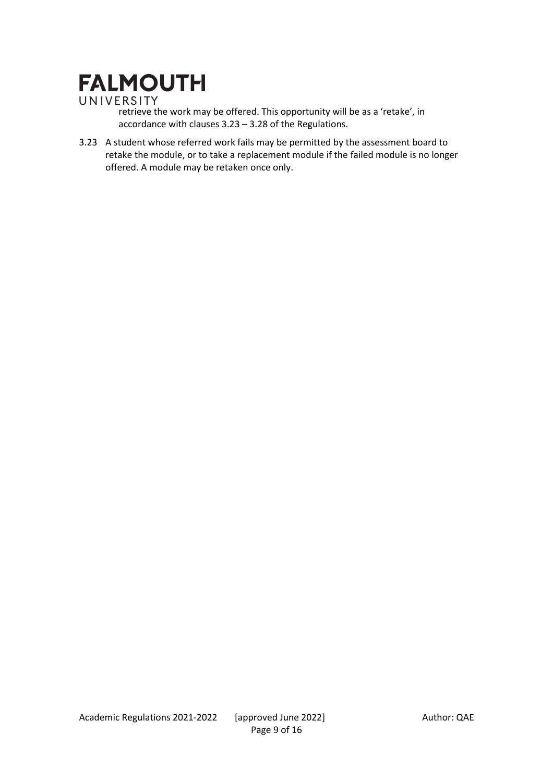### UNIVERSITY

retrieve the work may be offered. This opportunity will be as a 'retake', in accordance with clauses 3.23 – 3.28 of the Regulations.

3.23 A student whose referred work fails may be permitted by the assessment board to retake the module, or to take a replacement module if the failed module is no longer offered. A module may be retaken once only.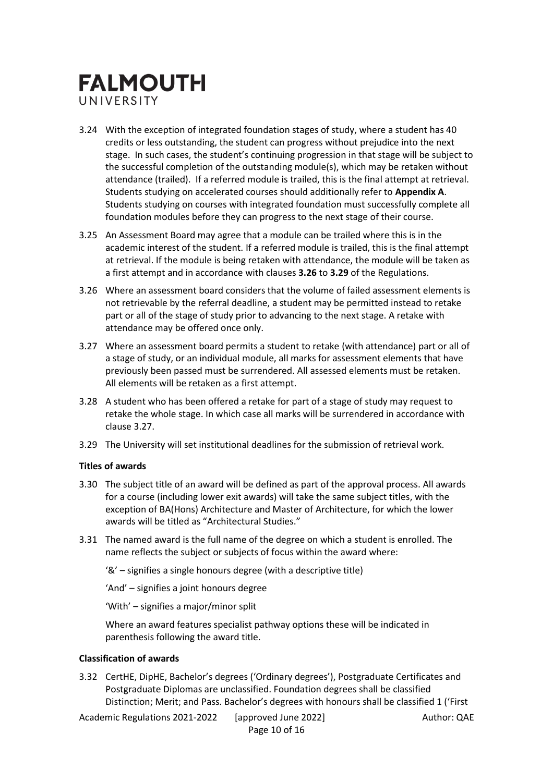### **FALMOUTH** UNIVERSITY

- 3.24 With the exception of integrated foundation stages of study, where a student has 40 credits or less outstanding, the student can progress without prejudice into the next stage. In such cases, the student's continuing progression in that stage will be subject to the successful completion of the outstanding module(s), which may be retaken without attendance (trailed). If a referred module is trailed, this is the final attempt at retrieval. Students studying on accelerated courses should additionally refer to **Appendix A**. Students studying on courses with integrated foundation must successfully complete all foundation modules before they can progress to the next stage of their course.
- 3.25 An Assessment Board may agree that a module can be trailed where this is in the academic interest of the student. If a referred module is trailed, this is the final attempt at retrieval. If the module is being retaken with attendance, the module will be taken as a first attempt and in accordance with clauses **3.26** to **3.29** of the Regulations.
- 3.26 Where an assessment board considers that the volume of failed assessment elements is not retrievable by the referral deadline, a student may be permitted instead to retake part or all of the stage of study prior to advancing to the next stage. A retake with attendance may be offered once only.
- 3.27 Where an assessment board permits a student to retake (with attendance) part or all of a stage of study, or an individual module, all marks for assessment elements that have previously been passed must be surrendered. All assessed elements must be retaken. All elements will be retaken as a first attempt.
- 3.28 A student who has been offered a retake for part of a stage of study may request to retake the whole stage. In which case all marks will be surrendered in accordance with clause 3.27.
- 3.29 The University will set institutional deadlines for the submission of retrieval work.

### **Titles of awards**

- 3.30 The subject title of an award will be defined as part of the approval process. All awards for a course (including lower exit awards) will take the same subject titles, with the exception of BA(Hons) Architecture and Master of Architecture, for which the lower awards will be titled as "Architectural Studies."
- 3.31 The named award is the full name of the degree on which a student is enrolled. The name reflects the subject or subjects of focus within the award where:
	- '&' signifies a single honours degree (with a descriptive title)

'And' – signifies a joint honours degree

'With' – signifies a major/minor split

Where an award features specialist pathway options these will be indicated in parenthesis following the award title.

### **Classification of awards**

3.32 CertHE, DipHE, Bachelor's degrees ('Ordinary degrees'), Postgraduate Certificates and Postgraduate Diplomas are unclassified. Foundation degrees shall be classified Distinction; Merit; and Pass. Bachelor's degrees with honours shall be classified 1 ('First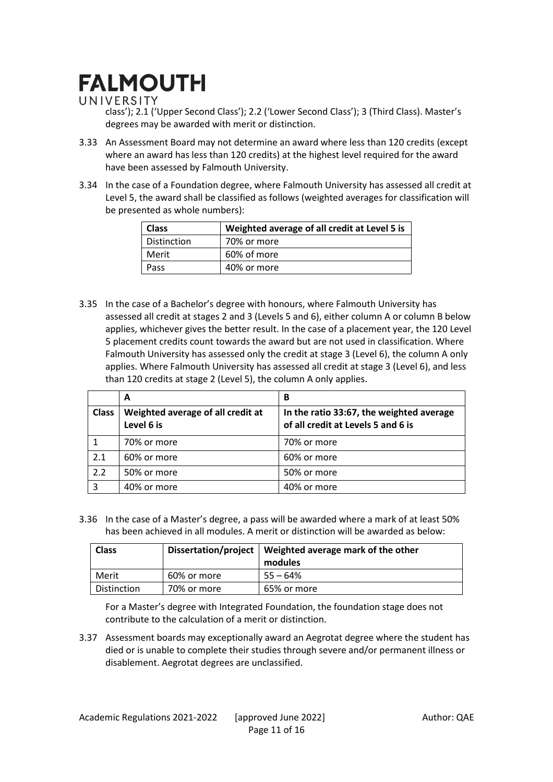UNIVERSITY

class'); 2.1 ('Upper Second Class'); 2.2 ('Lower Second Class'); 3 (Third Class). Master's degrees may be awarded with merit or distinction.

- 3.33 An Assessment Board may not determine an award where less than 120 credits (except where an award has less than 120 credits) at the highest level required for the award have been assessed by Falmouth University.
- 3.34 In the case of a Foundation degree, where Falmouth University has assessed all credit at Level 5, the award shall be classified as follows (weighted averages for classification will be presented as whole numbers):

| <b>Class</b>       | Weighted average of all credit at Level 5 is |
|--------------------|----------------------------------------------|
| <b>Distinction</b> | 70% or more                                  |
| Merit              | 60% of more                                  |
| Pass               | 40% or more                                  |

3.35 In the case of a Bachelor's degree with honours, where Falmouth University has assessed all credit at stages 2 and 3 (Levels 5 and 6), either column A or column B below applies, whichever gives the better result. In the case of a placement year, the 120 Level 5 placement credits count towards the award but are not used in classification. Where Falmouth University has assessed only the credit at stage 3 (Level 6), the column A only applies. Where Falmouth University has assessed all credit at stage 3 (Level 6), and less than 120 credits at stage 2 (Level 5), the column A only applies.

|              | A                                               | В                                                                              |
|--------------|-------------------------------------------------|--------------------------------------------------------------------------------|
| <b>Class</b> | Weighted average of all credit at<br>Level 6 is | In the ratio 33:67, the weighted average<br>of all credit at Levels 5 and 6 is |
|              | 70% or more                                     | 70% or more                                                                    |
| 2.1          | 60% or more                                     | 60% or more                                                                    |
| 2.2          | 50% or more                                     | 50% or more                                                                    |
| 3            | 40% or more                                     | 40% or more                                                                    |

3.36 In the case of a Master's degree, a pass will be awarded where a mark of at least 50% has been achieved in all modules. A merit or distinction will be awarded as below:

| <b>Class</b> |             | Dissertation/project   Weighted average mark of the other |  |
|--------------|-------------|-----------------------------------------------------------|--|
|              |             | modules                                                   |  |
| Merit        | 60% or more | $55 - 64%$                                                |  |
| Distinction  | 70% or more | 65% or more                                               |  |

For a Master's degree with Integrated Foundation, the foundation stage does not contribute to the calculation of a merit or distinction.

3.37 Assessment boards may exceptionally award an Aegrotat degree where the student has died or is unable to complete their studies through severe and/or permanent illness or disablement. Aegrotat degrees are unclassified.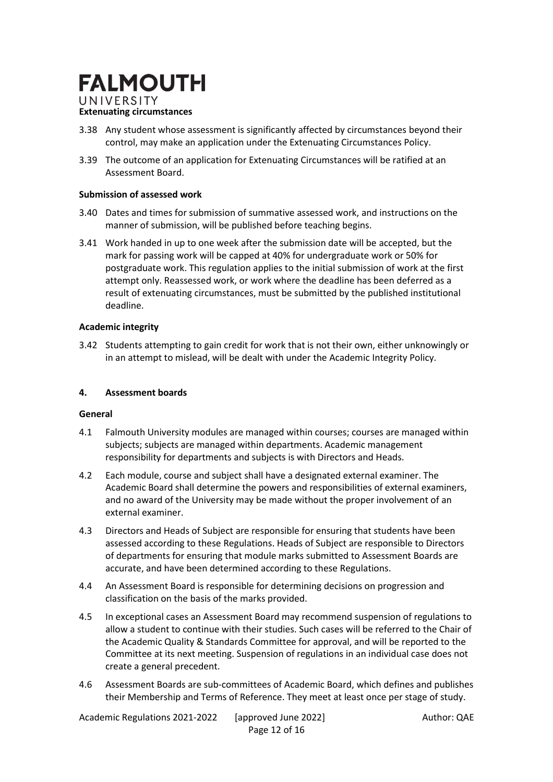## **FALMOUTH** UNIVERSITY

### **Extenuating circumstances**

- 3.38 Any student whose assessment is significantly affected by circumstances beyond their control, may make an application under the Extenuating Circumstances Policy.
- 3.39 The outcome of an application for Extenuating Circumstances will be ratified at an Assessment Board.

### **Submission of assessed work**

- 3.40 Dates and times for submission of summative assessed work, and instructions on the manner of submission, will be published before teaching begins.
- 3.41 Work handed in up to one week after the submission date will be accepted, but the mark for passing work will be capped at 40% for undergraduate work or 50% for postgraduate work. This regulation applies to the initial submission of work at the first attempt only. Reassessed work, or work where the deadline has been deferred as a result of extenuating circumstances, must be submitted by the published institutional deadline.

#### **Academic integrity**

3.42 Students attempting to gain credit for work that is not their own, either unknowingly or in an attempt to mislead, will be dealt with under the Academic Integrity Policy.

### **4. Assessment boards**

#### **General**

- 4.1 Falmouth University modules are managed within courses; courses are managed within subjects; subjects are managed within departments. Academic management responsibility for departments and subjects is with Directors and Heads.
- 4.2 Each module, course and subject shall have a designated external examiner. The Academic Board shall determine the powers and responsibilities of external examiners, and no award of the University may be made without the proper involvement of an external examiner.
- 4.3 Directors and Heads of Subject are responsible for ensuring that students have been assessed according to these Regulations. Heads of Subject are responsible to Directors of departments for ensuring that module marks submitted to Assessment Boards are accurate, and have been determined according to these Regulations.
- 4.4 An Assessment Board is responsible for determining decisions on progression and classification on the basis of the marks provided.
- 4.5 In exceptional cases an Assessment Board may recommend suspension of regulations to allow a student to continue with their studies. Such cases will be referred to the Chair of the Academic Quality & Standards Committee for approval, and will be reported to the Committee at its next meeting. Suspension of regulations in an individual case does not create a general precedent.
- 4.6 Assessment Boards are sub-committees of Academic Board, which defines and publishes their Membership and Terms of Reference. They meet at least once per stage of study.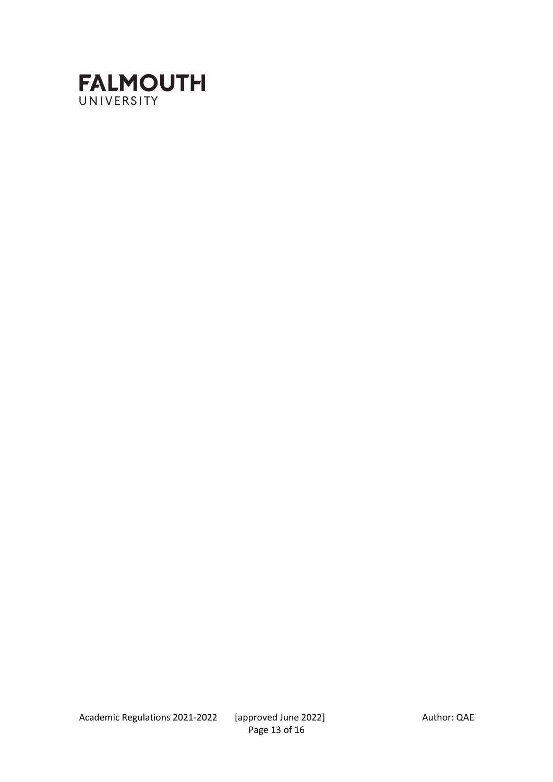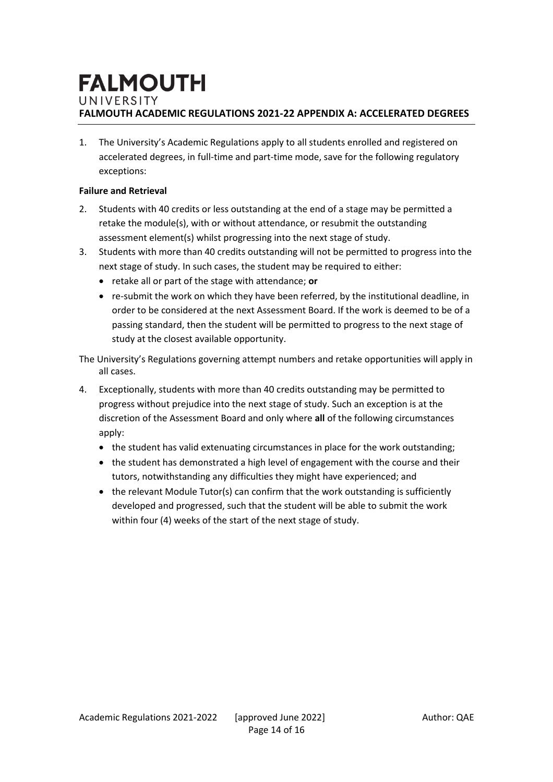### **FALMOUTH** UNIVERSITY **FALMOUTH ACADEMIC REGULATIONS 2021-22 APPENDIX A: ACCELERATED DEGREES**

1. The University's Academic Regulations apply to all students enrolled and registered on accelerated degrees, in full-time and part-time mode, save for the following regulatory exceptions:

### **Failure and Retrieval**

- 2. Students with 40 credits or less outstanding at the end of a stage may be permitted a retake the module(s), with or without attendance, or resubmit the outstanding assessment element(s) whilst progressing into the next stage of study.
- 3. Students with more than 40 credits outstanding will not be permitted to progress into the next stage of study. In such cases, the student may be required to either:
	- retake all or part of the stage with attendance; **or**
	- re-submit the work on which they have been referred, by the institutional deadline, in order to be considered at the next Assessment Board. If the work is deemed to be of a passing standard, then the student will be permitted to progress to the next stage of study at the closest available opportunity.

The University's Regulations governing attempt numbers and retake opportunities will apply in all cases.

- 4. Exceptionally, students with more than 40 credits outstanding may be permitted to progress without prejudice into the next stage of study. Such an exception is at the discretion of the Assessment Board and only where **all** of the following circumstances apply:
	- the student has valid extenuating circumstances in place for the work outstanding;
	- the student has demonstrated a high level of engagement with the course and their tutors, notwithstanding any difficulties they might have experienced; and
	- the relevant Module Tutor(s) can confirm that the work outstanding is sufficiently developed and progressed, such that the student will be able to submit the work within four (4) weeks of the start of the next stage of study.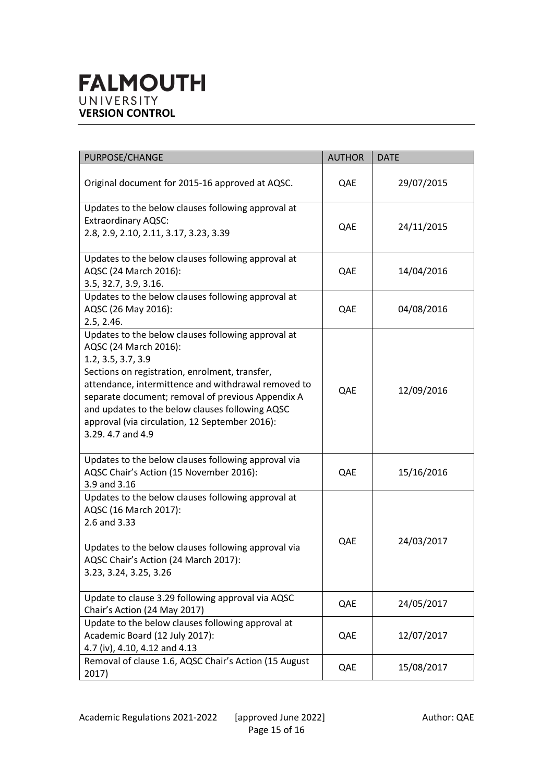## **FALMOUTH VERSION CONTROL**

| PURPOSE/CHANGE                                                                                                                                                                                                                                                                                                                                                                           | <b>AUTHOR</b> | <b>DATE</b> |
|------------------------------------------------------------------------------------------------------------------------------------------------------------------------------------------------------------------------------------------------------------------------------------------------------------------------------------------------------------------------------------------|---------------|-------------|
| Original document for 2015-16 approved at AQSC.                                                                                                                                                                                                                                                                                                                                          | QAE           | 29/07/2015  |
| Updates to the below clauses following approval at<br><b>Extraordinary AQSC:</b><br>2.8, 2.9, 2.10, 2.11, 3.17, 3.23, 3.39                                                                                                                                                                                                                                                               | QAE           | 24/11/2015  |
| Updates to the below clauses following approval at<br>AQSC (24 March 2016):<br>3.5, 32.7, 3.9, 3.16.                                                                                                                                                                                                                                                                                     | QAE           | 14/04/2016  |
| Updates to the below clauses following approval at<br>AQSC (26 May 2016):<br>2.5, 2.46.                                                                                                                                                                                                                                                                                                  | QAE           | 04/08/2016  |
| Updates to the below clauses following approval at<br>AQSC (24 March 2016):<br>1.2, 3.5, 3.7, 3.9<br>Sections on registration, enrolment, transfer,<br>attendance, intermittence and withdrawal removed to<br>separate document; removal of previous Appendix A<br>and updates to the below clauses following AQSC<br>approval (via circulation, 12 September 2016):<br>3.29.4.7 and 4.9 | QAE           | 12/09/2016  |
| Updates to the below clauses following approval via<br>AQSC Chair's Action (15 November 2016):<br>3.9 and 3.16                                                                                                                                                                                                                                                                           | QAE           | 15/16/2016  |
| Updates to the below clauses following approval at<br>AQSC (16 March 2017):<br>2.6 and 3.33<br>Updates to the below clauses following approval via<br>AQSC Chair's Action (24 March 2017):<br>3.23, 3.24, 3.25, 3.26                                                                                                                                                                     | QAE           | 24/03/2017  |
| Update to clause 3.29 following approval via AQSC<br>Chair's Action (24 May 2017)                                                                                                                                                                                                                                                                                                        | QAE           | 24/05/2017  |
| Update to the below clauses following approval at<br>Academic Board (12 July 2017):<br>4.7 (iv), 4.10, 4.12 and 4.13                                                                                                                                                                                                                                                                     | QAE           | 12/07/2017  |
| Removal of clause 1.6, AQSC Chair's Action (15 August<br>2017)                                                                                                                                                                                                                                                                                                                           | QAE           | 15/08/2017  |